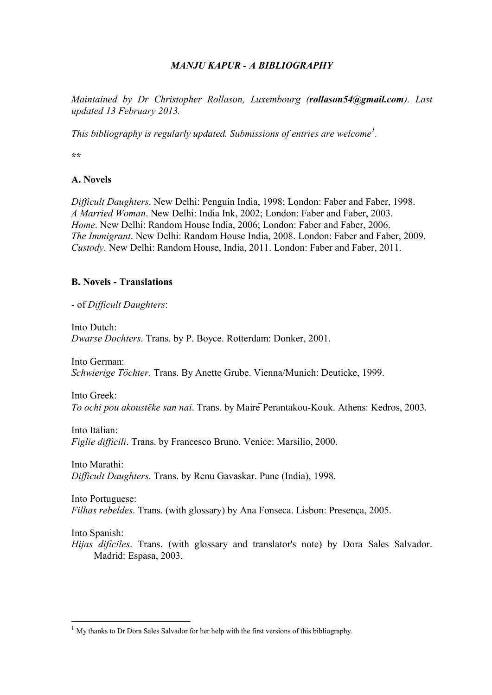# *MANJU KAPUR - A BIBLIOGRAPHY*

*Maintained by Dr Christopher Rollason, Luxembourg (rollason54@gmail.com). Last updated 13 February 2013.*

*This bibliography is regularly updated. Submissions of entries are welcome<sup>1</sup> .*

**\*\***

# **A. Novels**

*Difficult Daughters*. New Delhi: Penguin India, 1998; London: Faber and Faber, 1998. *A Married Woman*. New Delhi: India Ink, 2002; London: Faber and Faber, 2003. *Home*. New Delhi: Random House India, 2006; London: Faber and Faber, 2006. *The Immigrant*. New Delhi: Random House India, 2008. London: Faber and Faber, 2009. *Custody*. New Delhi: Random House, India, 2011. London: Faber and Faber, 2011.

## **B. Novels - Translations**

- of *Difficult Daughters*:

Into Dutch: *Dwarse Dochters*. Trans. by P. Boyce. Rotterdam: Donker, 2001.

Into German: *Schwierige Töchter.* Trans. By Anette Grube. Vienna/Munich: Deuticke, 1999.

Into Greek: *To ochi pou akoustēke san nai*. Trans. by MairēPerantakou-Kouk. Athens: Kedros, 2003.

Into Italian: *Figlie difficili*. Trans. by Francesco Bruno. Venice: Marsilio, 2000.

Into Marathi: *Difficult Daughters*. Trans. by Renu Gavaskar. Pune (India), 1998.

Into Portuguese: *Filhas rebeldes*. Trans. (with glossary) by Ana Fonseca. Lisbon: Presença, 2005.

Into Spanish:

 $\overline{a}$ 

*Hijas difíciles*. Trans. (with glossary and translator's note) by Dora Sales Salvador. Madrid: Espasa, 2003.

 $1$  My thanks to Dr Dora Sales Salvador for her help with the first versions of this bibliography.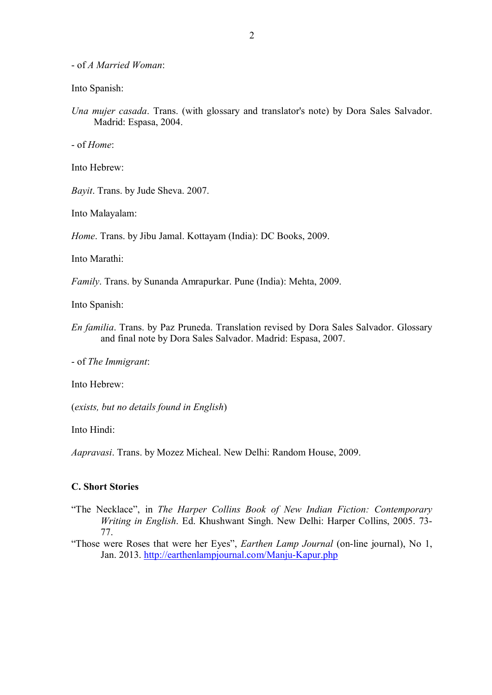- of *A Married Woman*:

Into Spanish:

*Una mujer casada*. Trans. (with glossary and translator's note) by Dora Sales Salvador. Madrid: Espasa, 2004.

- of *Home*:

Into Hebrew:

*Bayit*. Trans. by Jude Sheva. 2007.

Into Malayalam:

*Home*. Trans. by Jibu Jamal. Kottayam (India): DC Books, 2009.

Into Marathi:

*Family*. Trans. by Sunanda Amrapurkar. Pune (India): Mehta, 2009.

Into Spanish:

*En familia*. Trans. by Paz Pruneda. Translation revised by Dora Sales Salvador. Glossary and final note by Dora Sales Salvador. Madrid: Espasa, 2007.

- of *The Immigrant*:

Into Hebrew:

(*exists, but no details found in English*)

Into Hindi:

*Aapravasi*. Trans. by Mozez Micheal. New Delhi: Random House, 2009.

### **C. Short Stories**

"The Necklace", in *The Harper Collins Book of New Indian Fiction: Contemporary Writing in English*. Ed. Khushwant Singh. New Delhi: Harper Collins, 2005. 73- 77.

"Those were Roses that were her Eyes", *Earthen Lamp Journal* (on-line journal), No 1, Jan. 2013. http://earthenlampjournal.com/Manju-Kapur.php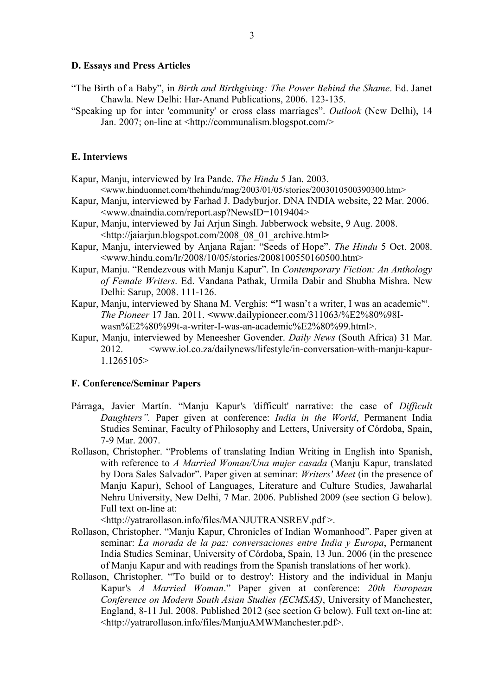#### **D. Essays and Press Articles**

- "The Birth of a Baby", in *Birth and Birthgiving: The Power Behind the Shame*. Ed. Janet Chawla. New Delhi: Har-Anand Publications, 2006. 123-135.
- "Speaking up for inter 'community' or cross class marriages". *Outlook* (New Delhi), 14 Jan. 2007; on-line at <http://communalism.blogspot.com/>

## **E. Interviews**

- Kapur, Manju, interviewed by Ira Pande. *The Hindu* 5 Jan. 2003. <www.hinduonnet.com/thehindu/mag/2003/01/05/stories/2003010500390300.htm>
- Kapur, Manju, interviewed by Farhad J. Dadyburjor. DNA INDIA website, 22 Mar. 2006. <www.dnaindia.com/report.asp?NewsID=1019404>
- Kapur, Manju, interviewed by Jai Arjun Singh. Jabberwock website, 9 Aug. 2008. <http://jaiarjun.blogspot.com/2008\_08\_01\_archive.html**>**
- Kapur, Manju, interviewed by Anjana Rajan: "Seeds of Hope". *The Hindu* 5 Oct. 2008. <www.hindu.com/lr/2008/10/05/stories/2008100550160500.htm>
- Kapur, Manju. "Rendezvous with Manju Kapur". In *Contemporary Fiction: An Anthology of Female Writers*. Ed. Vandana Pathak, Urmila Dabir and Shubha Mishra. New Delhi: Sarup, 2008. 111-126.
- Kapur, Manju, interviewed by Shana M. Verghis: **"'**I wasn't a writer, I was an academic'". *The Pioneer* 17 Jan. 2011. **<**www.dailypioneer.com/311063/%E2%80%98Iwasn%E2%80%99t-a-writer-I-was-an-academic%E2%80%99.html>.
- Kapur, Manju, interviewed by Meneesher Govender. *Daily News* (South Africa) 31 Mar. 2012. <www.iol.co.za/dailynews/lifestyle/in-conversation-with-manju-kapur-1.1265105>

#### **F. Conference/Seminar Papers**

- Párraga, Javier Martín. "Manju Kapur's 'difficult' narrative: the case of *Difficult Daughters".* Paper given at conference: *India in the World*, Permanent India Studies Seminar, Faculty of Philosophy and Letters, University of Córdoba, Spain, 7-9 Mar. 2007.
- Rollason, Christopher. "Problems of translating Indian Writing in English into Spanish, with reference to *A Married Woman/Una mujer casada* (Manju Kapur, translated by Dora Sales Salvador". Paper given at seminar: *Writers' Meet* (in the presence of Manju Kapur), School of Languages, Literature and Culture Studies, Jawaharlal Nehru University, New Delhi, 7 Mar. 2006. Published 2009 (see section G below). Full text on-line at:

<http://yatrarollason.info/files/MANJUTRANSREV.pdf >.

- Rollason, Christopher. "Manju Kapur, Chronicles of Indian Womanhood". Paper given at seminar: *La morada de la paz: conversaciones entre India y Europa*, Permanent India Studies Seminar, University of Córdoba, Spain, 13 Jun. 2006 (in the presence of Manju Kapur and with readings from the Spanish translations of her work).
- Rollason, Christopher. "'To build or to destroy': History and the individual in Manju Kapur's *A Married Woman*." Paper given at conference: *20th European Conference on Modern South Asian Studies (ECMSAS)*, University of Manchester, England, 8-11 Jul. 2008. Published 2012 (see section G below). Full text on-line at: <http://yatrarollason.info/files/ManjuAMWManchester.pdf>.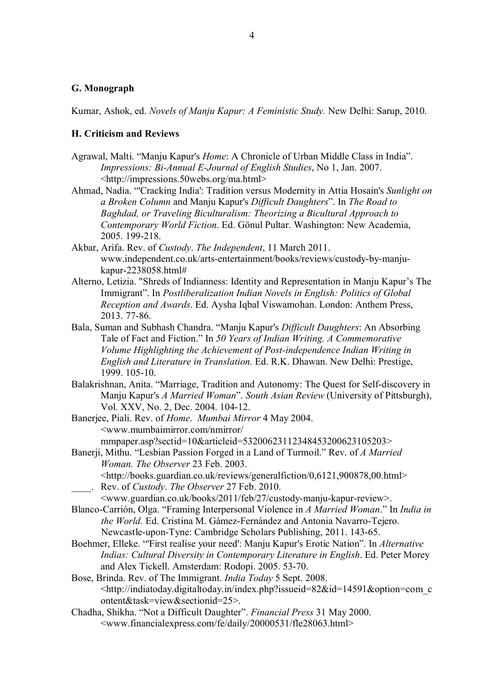### **G. Monograph**

Kumar, Ashok, ed. *Novels of Manju Kapur: A Feministic Study.* New Delhi: Sarup, 2010.

#### **H. Criticism and Reviews**

- Agrawal, Malti. "Manju Kapur's *Home*: A Chronicle of Urban Middle Class in India". *Impressions: Bi-Annual E-Journal of English Studies*, No 1, Jan. 2007. <http://impressions.50webs.org/ma.html>
- Ahmad, Nadia. "'Cracking India': Tradition versus Modernity in Attia Hosain's *Sunlight on a Broken Column* and Manju Kapur's *Difficult Daughters*". In *The Road to Baghdad, or Traveling Biculturalism: Theorizing a Bicultural Approach to Contemporary World Fiction*. Ed. Gönul Pultar. Washington: New Academia, 2005. 199-218.
- Akbar, Arifa. Rev. of *Custody*. *The Independent*, 11 March 2011. www.independent.co.uk/arts-entertainment/books/reviews/custody-by-manjukapur-2238058.html#
- Alterno, Letizia. "Shreds of Indianness: Identity and Representation in Manju Kapur's The Immigrant". In *Postliberalization Indian Novels in English: Politics of Global Reception and Awards*. Ed. Aysha Iqbal Viswamohan. London: Anthem Press, 2013. 77-86.
- Bala, Suman and Subhash Chandra. "Manju Kapur's *Difficult Daughters*: An Absorbing Tale of Fact and Fiction." In *50 Years of Indian Writing. A Commemorative Volume Highlighting the Achievement of Post-independence Indian Writing in English and Literature in Translation.* Ed. R.K. Dhawan. New Delhi: Prestige, 1999. 105-10.
- Balakrishnan, Anita. "Marriage, Tradition and Autonomy: The Quest for Self-discovery in Manju Kapur's *A Married Woman*". *South Asian Review* (University of Pittsburgh), Vol. XXV, No. 2, Dec. 2004. 104-12.
- Banerjee, Piali. Rev. of *Home*. *Mumbai Mirror* 4 May 2004. <www.mumbaimirror.com/nmirror/ mmpaper.asp?sectid=10&articleid=53200623112348453200623105203>
- Banerji, Mithu. "Lesbian Passion Forged in a Land of Turmoil." Rev. of *A Married Woman. The Observer* 23 Feb. 2003. <http://books.guardian.co.uk/reviews/generalfiction/0,6121,900878,00.html>
	- \_\_\_\_. Rev. of *Custody*. *The Observer* 27 Feb. 2010.
- <www.guardian.co.uk/books/2011/feb/27/custody-manju-kapur-review>. Blanco-Carrión, Olga. "Framing Interpersonal Violence in *A Married Woman*." In *India in the World.* Ed. Cristina M. Gámez-Fernández and Antonia Navarro-Tejero. Newcastle-upon-Tyne: Cambridge Scholars Publishing, 2011. 143-65.
- Boehmer, Elleke. "'First realise your need': Manju Kapur's Erotic Nation". In *Alternative Indias: Cultural Diversity in Contemporary Literature in English*. Ed. Peter Morey and Alex Tickell. Amsterdam: Rodopi. 2005. 53-70.
- Bose, Brinda. Rev. of The Immigrant. *India Today* 5 Sept. 2008. <http://indiatoday.digitaltoday.in/index.php?issueid=82&id=14591&option=com\_c ontent&task=view&sectionid=25>.
- Chadha, Shikha. "Not a Difficult Daughter". *Financial Press* 31 May 2000. <www.financialexpress.com/fe/daily/20000531/fle28063.html>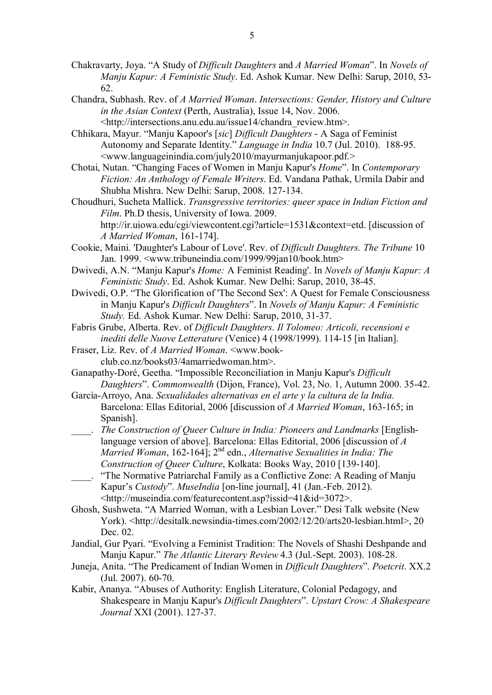- Chakravarty, Joya. "A Study of *Difficult Daughters* and *A Married Woman*". In *Novels of Manju Kapur: A Feministic Study*. Ed. Ashok Kumar. New Delhi: Sarup, 2010, 53- 62.
- Chandra, Subhash. Rev. of *A Married Woman*. *Intersections: Gender, History and Culture in the Asian Context* (Perth, Australia), Issue 14, Nov. 2006. <http://intersections.anu.edu.au/issue14/chandra\_review.htm>.
- Chhikara, Mayur. "Manju Kapoor's [*sic*] *Difficult Daughters* A Saga of Feminist Autonomy and Separate Identity." *Language in India* 10.7 (Jul. 2010). 188-95. <www.languageinindia.com/july2010/mayurmanjukapoor.pdf.>
- Chotai, Nutan. "Changing Faces of Women in Manju Kapur's *Home*". In *Contemporary Fiction: An Anthology of Female Writers*. Ed. Vandana Pathak, Urmila Dabir and Shubha Mishra. New Delhi: Sarup, 2008. 127-134.
- Choudhuri, Sucheta Mallick. *Transgressive territories: queer space in Indian Fiction and Film*. Ph.D thesis, University of Iowa. 2009. http://ir.uiowa.edu/cgi/viewcontent.cgi?article=1531&context=etd. [discussion of *A Married Woman*, 161-174].
- Cookie, Maini. 'Daughter's Labour of Love'. Rev. of *Difficult Daughters. The Tribune* 10 Jan. 1999. <www.tribuneindia.com/1999/99jan10/book.htm>
- Dwivedi, A.N. "Manju Kapur's *Home:* A Feminist Reading'. In *Novels of Manju Kapur: A Feministic Study*. Ed. Ashok Kumar. New Delhi: Sarup, 2010, 38-45.
- Dwivedi, O.P. "The Glorification of 'The Second Sex': A Quest for Female Consciousness in Manju Kapur's *Difficult Daughters*". In *Novels of Manju Kapur: A Feministic Study.* Ed. Ashok Kumar. New Delhi: Sarup, 2010, 31-37.
- Fabris Grube, Alberta. Rev. of *Difficult Daughters*. *Il Tolomeo: Articoli, recensioni e inediti delle Nuove Letterature* (Venice) 4 (1998/1999). 114-15 [in Italian].
- Fraser, Liz. Rev. of *A Married Woman*. <www.bookclub.co.nz/books03/4amarriedwoman.htm>.
- Ganapathy-Doré, Geetha. "Impossible Reconciliation in Manju Kapur's *Difficult Daughters*". *Commonwealth* (Dijon, France), Vol. 23, No. 1, Autumn 2000. 35-42.
- García-Arroyo, Ana. *Sexualidades alternativas en el arte y la cultura de la India.*  Barcelona: Ellas Editorial, 2006 [discussion of *A Married Woman*, 163-165; in Spanish].
- \_\_\_\_. *The Construction of Queer Culture in India: Pioneers and Landmarks* [Englishlanguage version of above]. Barcelona: Ellas Editorial, 2006 [discussion of *A Married Woman*, 162-164]; 2nd edn., *Alternative Sexualities in India: The Construction of Queer Culture*, Kolkata: Books Way, 2010 [139-140].
- \_\_\_\_. "The Normative Patriarchal Family as a Conflictive Zone: A Reading of Manju Kapur's *Custody*". *MuseIndia* [on-line journal], 41 (Jan.-Feb. 2012). <http://museindia.com/featurecontent.asp?issid=41&id=3072>.
- Ghosh, Sushweta. "A Married Woman, with a Lesbian Lover." Desi Talk website (New York). <http://desitalk.newsindia-times.com/2002/12/20/arts20-lesbian.html>, 20 Dec. 02.
- Jandial, Gur Pyari. "Evolving a Feminist Tradition: The Novels of Shashi Deshpande and Manju Kapur." *The Atlantic Literary Review* 4.3 (Jul.-Sept. 2003). 108-28.
- Juneja, Anita. "The Predicament of Indian Women in *Difficult Daughters*". *Poetcrit*. XX.2 (Jul. 2007). 60-70.
- Kabir, Ananya. "Abuses of Authority: English Literature, Colonial Pedagogy, and Shakespeare in Manju Kapur's *Difficult Daughters*". *Upstart Crow: A Shakespeare Journal* XXI (2001). 127-37.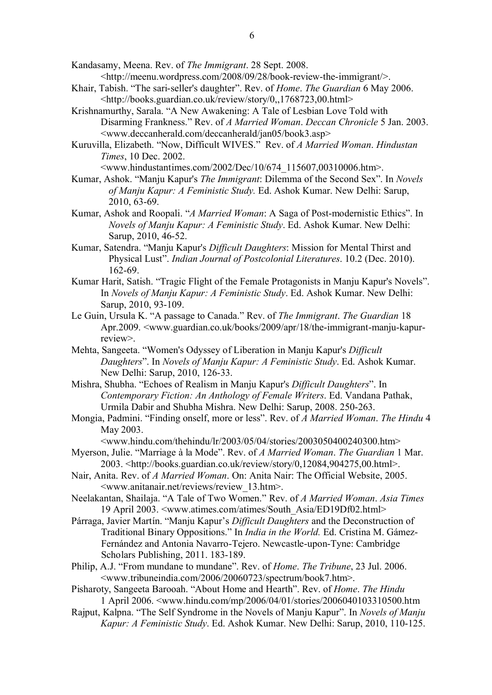Kandasamy, Meena. Rev. of *The Immigrant*. 28 Sept. 2008. <http://meenu.wordpress.com/2008/09/28/book-review-the-immigrant/>.

- Khair, Tabish. "The sari-seller's daughter". Rev. of *Home*. *The Guardian* 6 May 2006. <http://books.guardian.co.uk/review/story/0,,1768723,00.html>
- Krishnamurthy, Sarala. "A New Awakening: A Tale of Lesbian Love Told with Disarming Frankness." Rev. of *A Married Woman*. *Deccan Chronicle* 5 Jan. 2003. <www.deccanherald.com/deccanherald/jan05/book3.asp>
- Kuruvilla, Elizabeth. "Now, Difficult WIVES." Rev. of *A Married Woman*. *Hindustan Times*, 10 Dec. 2002.

<www.hindustantimes.com/2002/Dec/10/674\_115607,00310006.htm>.

- Kumar, Ashok. "Manju Kapur's *The Immigrant*: Dilemma of the Second Sex". In *Novels of Manju Kapur: A Feministic Study.* Ed. Ashok Kumar. New Delhi: Sarup, 2010, 63-69.
- Kumar, Ashok and Roopali. "*A Married Woman*: A Saga of Post-modernistic Ethics". In *Novels of Manju Kapur: A Feministic Study*. Ed. Ashok Kumar. New Delhi: Sarup, 2010, 46-52.
- Kumar, Satendra. "Manju Kapur's *Difficult Daughters*: Mission for Mental Thirst and Physical Lust". *Indian Journal of Postcolonial Literatures*. 10.2 (Dec. 2010). 162-69.
- Kumar Harit, Satish. "Tragic Flight of the Female Protagonists in Manju Kapur's Novels". In *Novels of Manju Kapur: A Feministic Study*. Ed. Ashok Kumar. New Delhi: Sarup, 2010, 93-109.
- Le Guin, Ursula K. "A passage to Canada." Rev. of *The Immigrant*. *The Guardian* 18 Apr.2009. <www.guardian.co.uk/books/2009/apr/18/the-immigrant-manju-kapurreview>.
- Mehta, Sangeeta. "Women's Odyssey of Liberation in Manju Kapur's *Difficult Daughters*". In *Novels of Manju Kapur: A Feministic Study*. Ed. Ashok Kumar. New Delhi: Sarup, 2010, 126-33.
- Mishra, Shubha. "Echoes of Realism in Manju Kapur's *Difficult Daughters*". In *Contemporary Fiction: An Anthology of Female Writers*. Ed. Vandana Pathak, Urmila Dabir and Shubha Mishra. New Delhi: Sarup, 2008. 250-263.
- Mongia, Padmini. "Finding onself, more or less". Rev. of *A Married Woman*. *The Hindu* 4 May 2003.

 $\langle$ www.hindu.com/thehindu/lr/2003/05/04/stories/2003050400240300.htm>

- Myerson, Julie. "Marriage à la Mode". Rev. of *A Married Woman*. *The Guardian* 1 Mar. 2003. <http://books.guardian.co.uk/review/story/0,12084,904275,00.html>.
- Nair, Anita. Rev. of *A Married Woman*. On: Anita Nair: The Official Website, 2005. <www.anitanair.net/reviews/review\_13.htm>.
- Neelakantan, Shailaja. "A Tale of Two Women." Rev. of *A Married Woman*. *Asia Times* 19 April 2003. <www.atimes.com/atimes/South\_Asia/ED19Df02.html>
- Párraga, Javier Martín. "Manju Kapur's *Difficult Daughters* and the Deconstruction of Traditional Binary Oppositions." In *India in the World.* Ed. Cristina M. Gámez-Fernández and Antonia Navarro-Tejero. Newcastle-upon-Tyne: Cambridge Scholars Publishing, 2011. 183-189.
- Philip, A.J. "From mundane to mundane". Rev. of *Home*. *The Tribune*, 23 Jul. 2006. <www.tribuneindia.com/2006/20060723/spectrum/book7.htm>.
- Pisharoty, Sangeeta Barooah. "About Home and Hearth". Rev. of *Home*. *The Hindu* 1 April 2006. <www.hindu.com/mp/2006/04/01/stories/2006040103310500.htm
- Rajput, Kalpna. "The Self Syndrome in the Novels of Manju Kapur". In *Novels of Manju Kapur: A Feministic Study*. Ed. Ashok Kumar. New Delhi: Sarup, 2010, 110-125.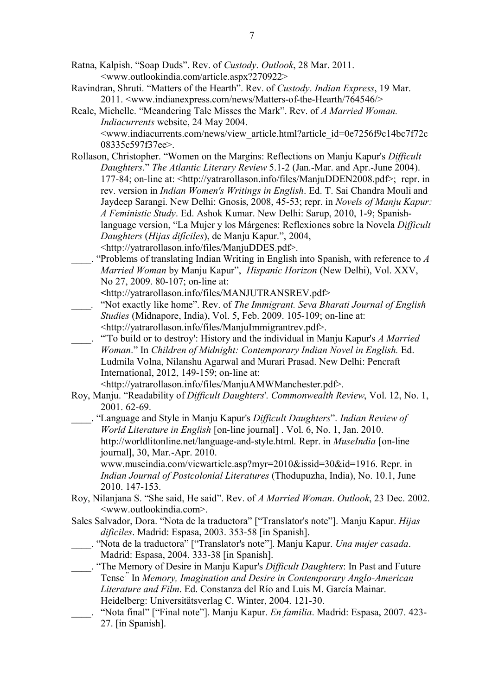Ratna, Kalpish. "Soap Duds". Rev. of *Custody*. *Outlook*, 28 Mar. 2011. <www.outlookindia.com/article.aspx?270922>

- Ravindran, Shruti. "Matters of the Hearth". Rev. of *Custody*. *Indian Express*, 19 Mar. 2011. <www.indianexpress.com/news/Matters-of-the-Hearth/764546/>
- Reale, Michelle. "Meandering Tale Misses the Mark". Rev. of *A Married Woman. Indiacurrents* website, 24 May 2004. <www.indiacurrents.com/news/view\_article.html?article\_id=0e7256f9c14bc7f72c 08335c597f37ee>.
- Rollason, Christopher. "Women on the Margins: Reflections on Manju Kapur's *Difficult Daughters*." *The Atlantic Literary Review* 5.1-2 (Jan.-Mar. and Apr.-June 2004). 177-84; on-line at: <http://yatrarollason.info/files/ManjuDDEN2008.pdf>; repr. in rev. version in *Indian Women's Writings in English*. Ed. T. Sai Chandra Mouli and Jaydeep Sarangi. New Delhi: Gnosis, 2008, 45-53; repr. in *Novels of Manju Kapur: A Feministic Study*. Ed. Ashok Kumar. New Delhi: Sarup, 2010, 1-9; Spanishlanguage version, "La Mujer y los Márgenes: Reflexiones sobre la Novela *Difficult Daughters* (*Hijas difíciles*), de Manju Kapur.", 2004, <http://yatrarollason.info/files/ManjuDDES.pdf>.
- \_\_\_\_. "Problems of translating Indian Writing in English into Spanish, with reference to *A Married Woman* by Manju Kapur", *Hispanic Horizon* (New Delhi), Vol. XXV, No 27, 2009. 80-107; on-line at:

**<**http://yatrarollason.info/files/MANJUTRANSREV.pdf>

- *\_\_\_\_.* "Not exactly like home". Rev. of *The Immigrant. Seva Bharati Journal of English Studies* (Midnapore, India), Vol. 5, Feb. 2009. 105-109; on-line at: <http://yatrarollason.info/files/ManjuImmigrantrev.pdf>.
- \_\_\_\_. "'To build or to destroy': History and the individual in Manju Kapur's *A Married Woman*." In *Children of Midnight: Contemporary Indian Novel in English.* Ed. Ludmila Volna, Nilanshu Agarwal and Murari Prasad. New Delhi: Pencraft International, 2012, 149-159; on-line at:

<http://yatrarollason.info/files/ManjuAMWManchester.pdf>.

Roy, Manju. "Readability of *Difficult Daughters*'. *Commonwealth Review*, Vol. 12, No. 1, 2001. 62-69.

\_\_\_\_. "Language and Style in Manju Kapur's *Difficult Daughters*". *Indian Review of World Literature in English* [on-line journal] . Vol. 6, No. 1, Jan. 2010. http://worldlitonline.net/language-and-style.html. Repr. in *MuseIndia* [on-line journal], 30, Mar.-Apr. 2010.

www.museindia.com/viewarticle.asp?myr=2010&issid=30&id=1916. Repr. in *Indian Journal of Postcolonial Literatures* (Thodupuzha, India), No. 10.1, June 2010. 147-153.

- Roy, Nilanjana S. "She said, He said". Rev. of *A Married Woman*. *Outlook*, 23 Dec. 2002. <www.outlookindia.com>.
- Sales Salvador, Dora. "Nota de la traductora" ["Translator's note"]. Manju Kapur. *Hijas dificiles*. Madrid: Espasa, 2003. 353-58 [in Spanish].
- \_\_\_\_. "Nota de la traductora" ["Translator's note"]. Manju Kapur. *Una mujer casada*. Madrid: Espasa, 2004. 333-38 [in Spanish].
- \_\_\_\_. "The Memory of Desire in Manju Kapur's *Difficult Daughters*: In Past and Future Tense<sup>"</sup> In *Memory, Imagination and Desire in Contemporary Anglo-American Literature and Film*. Ed. Constanza del Río and Luis M. García Mainar. Heidelberg: Universitätsverlag C. Winter, 2004. 121-30.
- \_\_\_\_. "Nota final" ["Final note"]. Manju Kapur. *En familia*. Madrid: Espasa, 2007. 423- 27. [in Spanish].